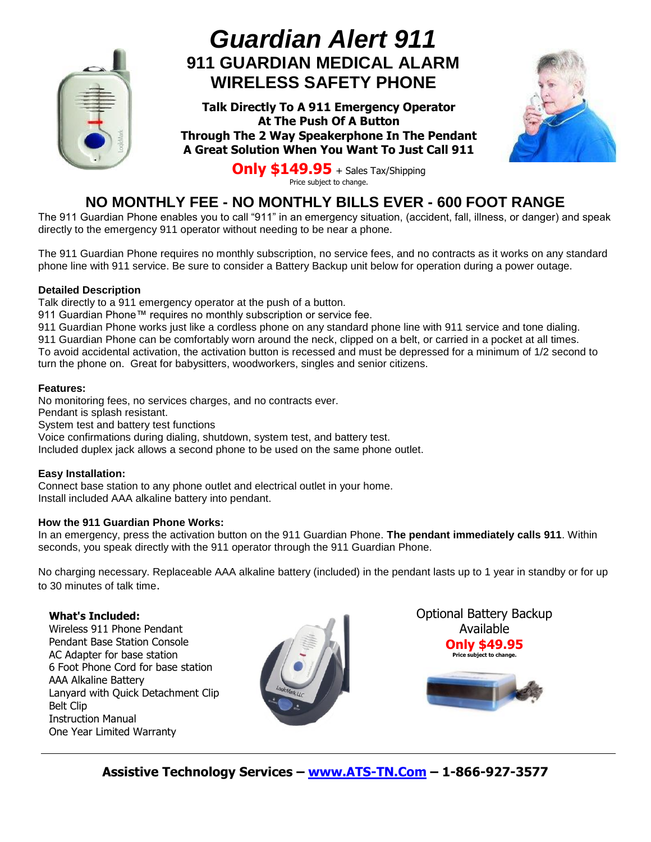

# *Guardian Alert 911* **911 GUARDIAN MEDICAL ALARM WIRELESS SAFETY PHONE**

**Talk Directly To A 911 Emergency Operator At The Push Of A Button Through The 2 Way Speakerphone In The Pendant A Great Solution When You Want To Just Call 911**



**Only \$149.95** + Sales Tax/Shipping Price subject to change.

### **NO MONTHLY FEE - NO MONTHLY BILLS EVER - 600 FOOT RANGE**

The 911 Guardian Phone enables you to call "911" in an emergency situation, (accident, fall, illness, or danger) and speak directly to the emergency 911 operator without needing to be near a phone.

The 911 Guardian Phone requires no monthly subscription, no service fees, and no contracts as it works on any standard phone line with 911 service. Be sure to consider a Battery Backup unit below for operation during a power outage.

#### **Detailed Description**

Talk directly to a 911 emergency operator at the push of a button.

911 Guardian Phone™ requires no monthly subscription or service fee.

911 Guardian Phone works just like a cordless phone on any standard phone line with 911 service and tone dialing.

911 Guardian Phone can be comfortably worn around the neck, clipped on a belt, or carried in a pocket at all times.

To avoid accidental activation, the activation button is recessed and must be depressed for a minimum of 1/2 second to turn the phone on. Great for babysitters, woodworkers, singles and senior citizens.

#### **Features:**

No monitoring fees, no services charges, and no contracts ever. Pendant is splash resistant.

System test and battery test functions

Voice confirmations during dialing, shutdown, system test, and battery test.

Included duplex jack allows a second phone to be used on the same phone outlet.

#### **Easy Installation:**

Connect base station to any phone outlet and electrical outlet in your home. Install included AAA alkaline battery into pendant.

#### **How the 911 Guardian Phone Works:**

In an emergency, press the activation button on the 911 Guardian Phone. **The pendant immediately calls 911**. Within seconds, you speak directly with the 911 operator through the 911 Guardian Phone.

No charging necessary. Replaceable AAA alkaline battery (included) in the pendant lasts up to 1 year in standby or for up to 30 minutes of talk time.

#### **What's Included:**

Wireless 911 Phone Pendant Pendant Base Station Console AC Adapter for base station 6 Foot Phone Cord for base station AAA Alkaline Battery Lanyard with Quick Detachment Clip Belt Clip Instruction Manual One Year Limited Warranty



Optional Battery Backup Available **Only \$49.95 Price subject to change.**

**Assistive Technology Services – [www.ATS-TN.Com](http://www.ats-tn.com/) – 1-866-927-3577**